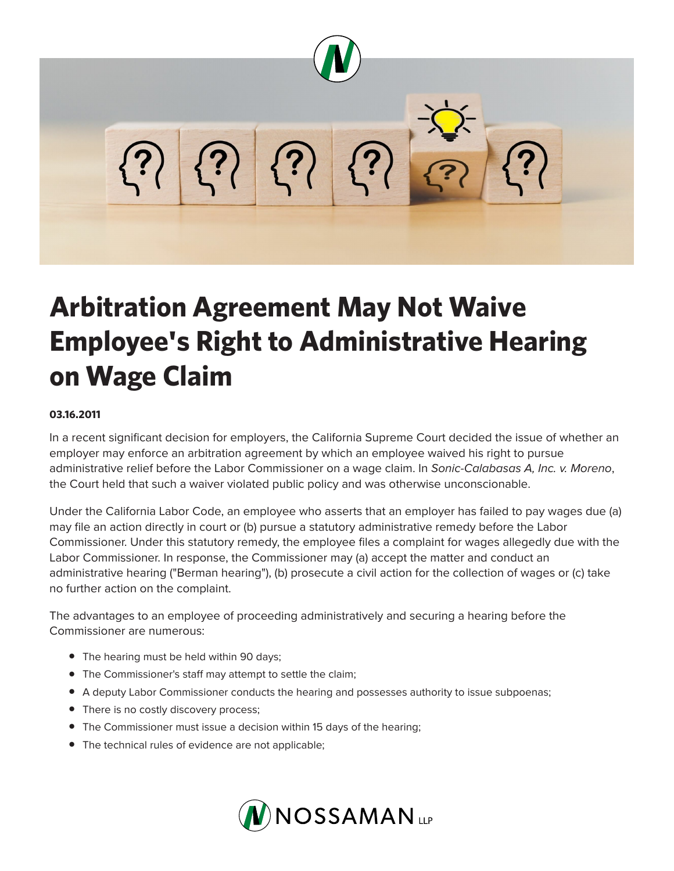

## **Arbitration Agreement May Not Waive Employee's Right to Administrative Hearing on Wage Claim**

## **03.16.2011**

In a recent significant decision for employers, the California Supreme Court decided the issue of whether an employer may enforce an arbitration agreement by which an employee waived his right to pursue administrative relief before the Labor Commissioner on a wage claim. In *Sonic-Calabasas A, Inc. v. Moreno*, the Court held that such a waiver violated public policy and was otherwise unconscionable.

Under the California Labor Code, an employee who asserts that an employer has failed to pay wages due (a) may file an action directly in court or (b) pursue a statutory administrative remedy before the Labor Commissioner. Under this statutory remedy, the employee files a complaint for wages allegedly due with the Labor Commissioner. In response, the Commissioner may (a) accept the matter and conduct an administrative hearing ("Berman hearing"), (b) prosecute a civil action for the collection of wages or (c) take no further action on the complaint.

The advantages to an employee of proceeding administratively and securing a hearing before the Commissioner are numerous:

- The hearing must be held within 90 days;
- The Commissioner's staff may attempt to settle the claim;
- A deputy Labor Commissioner conducts the hearing and possesses authority to issue subpoenas;
- There is no costly discovery process;
- The Commissioner must issue a decision within 15 days of the hearing;
- The technical rules of evidence are not applicable;

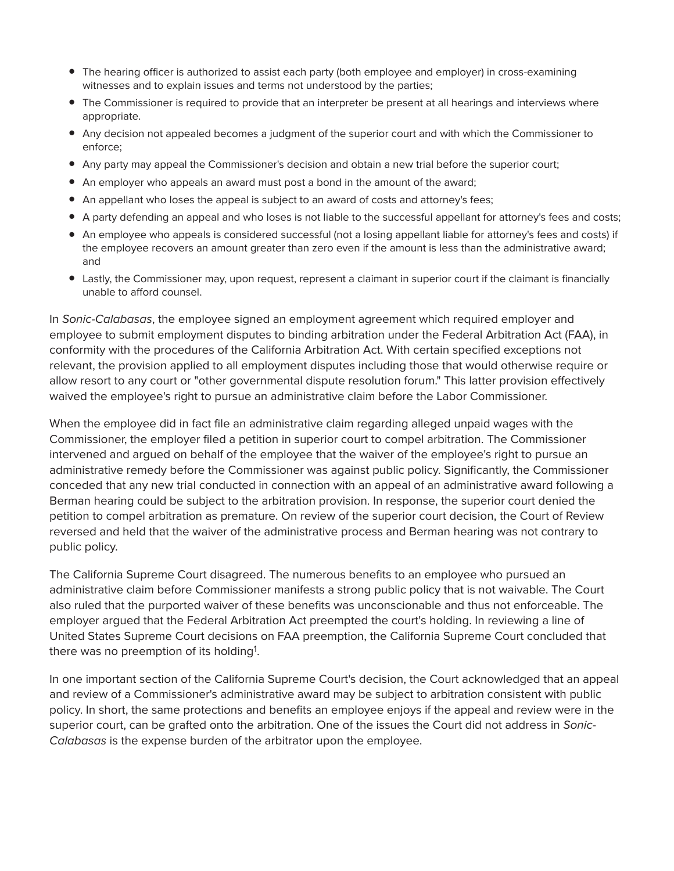- The hearing officer is authorized to assist each party (both employee and employer) in cross-examining witnesses and to explain issues and terms not understood by the parties;
- The Commissioner is required to provide that an interpreter be present at all hearings and interviews where appropriate.
- Any decision not appealed becomes a judgment of the superior court and with which the Commissioner to enforce;
- Any party may appeal the Commissioner's decision and obtain a new trial before the superior court;
- An employer who appeals an award must post a bond in the amount of the award;
- An appellant who loses the appeal is subject to an award of costs and attorney's fees;
- A party defending an appeal and who loses is not liable to the successful appellant for attorney's fees and costs;
- An employee who appeals is considered successful (not a losing appellant liable for attorney's fees and costs) if the employee recovers an amount greater than zero even if the amount is less than the administrative award; and
- Lastly, the Commissioner may, upon request, represent a claimant in superior court if the claimant is financially unable to afford counsel.

In *Sonic-Calabasas*, the employee signed an employment agreement which required employer and employee to submit employment disputes to binding arbitration under the Federal Arbitration Act (FAA), in conformity with the procedures of the California Arbitration Act. With certain specified exceptions not relevant, the provision applied to all employment disputes including those that would otherwise require or allow resort to any court or "other governmental dispute resolution forum." This latter provision effectively waived the employee's right to pursue an administrative claim before the Labor Commissioner.

When the employee did in fact file an administrative claim regarding alleged unpaid wages with the Commissioner, the employer filed a petition in superior court to compel arbitration. The Commissioner intervened and argued on behalf of the employee that the waiver of the employee's right to pursue an administrative remedy before the Commissioner was against public policy. Significantly, the Commissioner conceded that any new trial conducted in connection with an appeal of an administrative award following a Berman hearing could be subject to the arbitration provision. In response, the superior court denied the petition to compel arbitration as premature. On review of the superior court decision, the Court of Review reversed and held that the waiver of the administrative process and Berman hearing was not contrary to public policy.

The California Supreme Court disagreed. The numerous benefits to an employee who pursued an administrative claim before Commissioner manifests a strong public policy that is not waivable. The Court also ruled that the purported waiver of these benefits was unconscionable and thus not enforceable. The employer argued that the Federal Arbitration Act preempted the court's holding. In reviewing a line of United States Supreme Court decisions on FAA preemption, the California Supreme Court concluded that there was no preemption of its holding<sup>1</sup>.

In one important section of the California Supreme Court's decision, the Court acknowledged that an appeal and review of a Commissioner's administrative award may be subject to arbitration consistent with public policy. In short, the same protections and benefits an employee enjoys if the appeal and review were in the superior court, can be grafted onto the arbitration. One of the issues the Court did not address in *Sonic-Calabasas* is the expense burden of the arbitrator upon the employee.